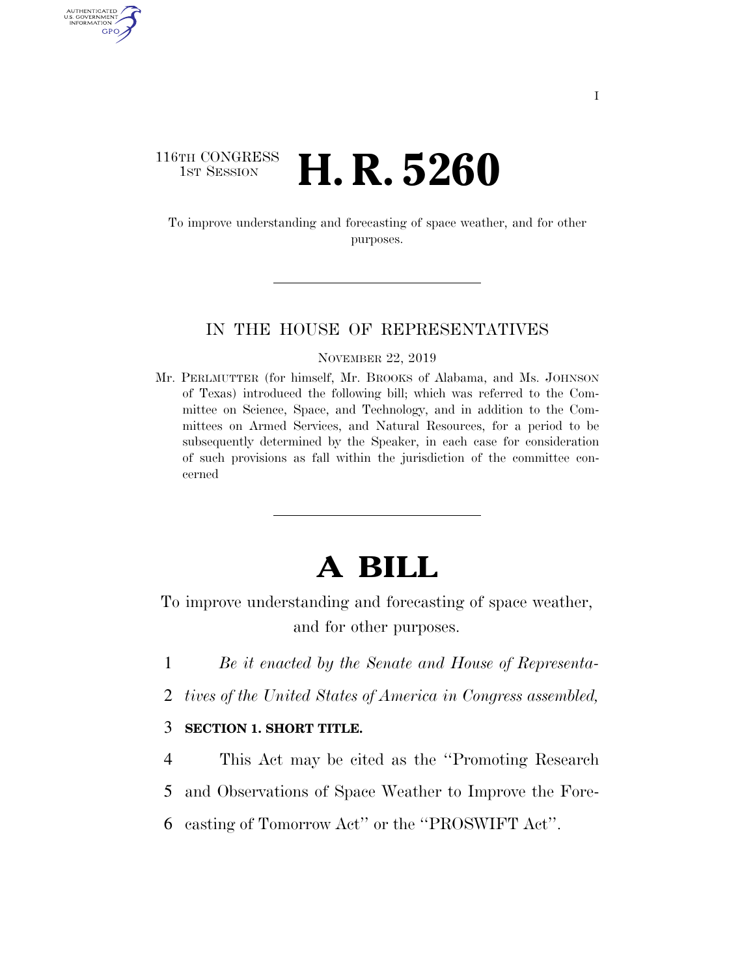# 116TH CONGRESS **1st Session H. R. 5260**

AUTHENTICATED U.S. GOVERNMENT GPO

> To improve understanding and forecasting of space weather, and for other purposes.

#### IN THE HOUSE OF REPRESENTATIVES

#### NOVEMBER 22, 2019

Mr. PERLMUTTER (for himself, Mr. BROOKS of Alabama, and Ms. JOHNSON of Texas) introduced the following bill; which was referred to the Committee on Science, Space, and Technology, and in addition to the Committees on Armed Services, and Natural Resources, for a period to be subsequently determined by the Speaker, in each case for consideration of such provisions as fall within the jurisdiction of the committee concerned

# **A BILL**

To improve understanding and forecasting of space weather, and for other purposes.

- 1 *Be it enacted by the Senate and House of Representa-*
- 2 *tives of the United States of America in Congress assembled,*

# 3 **SECTION 1. SHORT TITLE.**

4 This Act may be cited as the ''Promoting Research

5 and Observations of Space Weather to Improve the Fore-

6 casting of Tomorrow Act'' or the ''PROSWIFT Act''.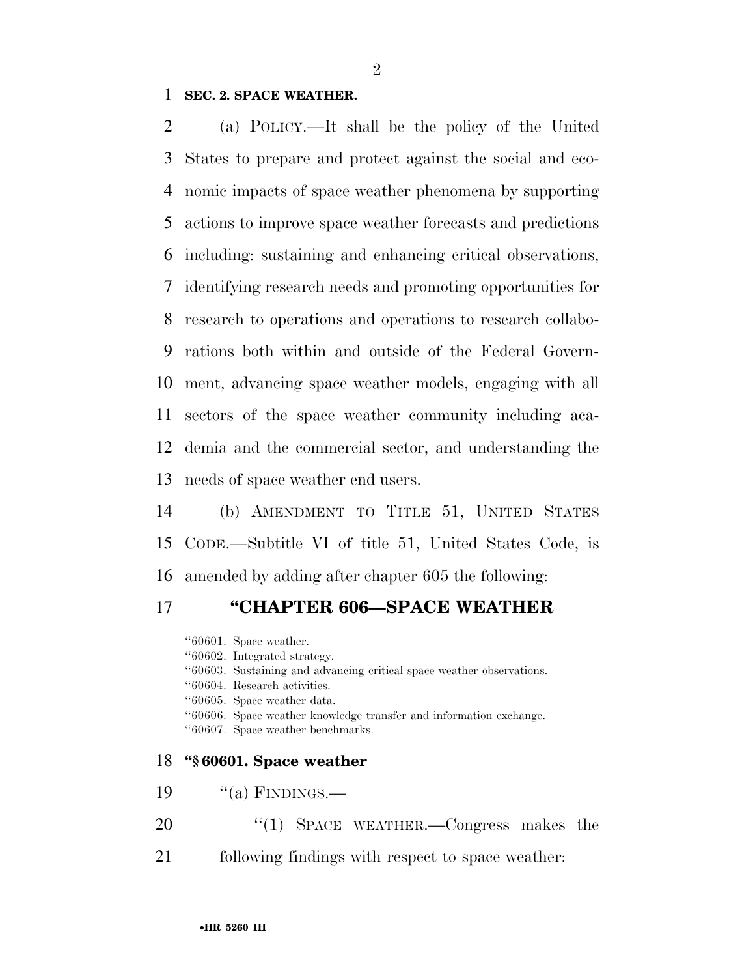### **SEC. 2. SPACE WEATHER.**

 (a) POLICY.—It shall be the policy of the United States to prepare and protect against the social and eco- nomic impacts of space weather phenomena by supporting actions to improve space weather forecasts and predictions including: sustaining and enhancing critical observations, identifying research needs and promoting opportunities for research to operations and operations to research collabo- rations both within and outside of the Federal Govern- ment, advancing space weather models, engaging with all sectors of the space weather community including aca- demia and the commercial sector, and understanding the needs of space weather end users.

 (b) AMENDMENT TO TITLE 51, UNITED STATES CODE.—Subtitle VI of title 51, United States Code, is amended by adding after chapter 605 the following:

# **''CHAPTER 606—SPACE WEATHER**

''60601. Space weather. ''60602. Integrated strategy. ''60603. Sustaining and advancing critical space weather observations. ''60604. Research activities. ''60605. Space weather data. ''60606. Space weather knowledge transfer and information exchange. ''60607. Space weather benchmarks. **''§ 60601. Space weather**  19  $"$ (a) FINDINGS.—

- 20 "(1) SPACE WEATHER.—Congress makes the
- following findings with respect to space weather: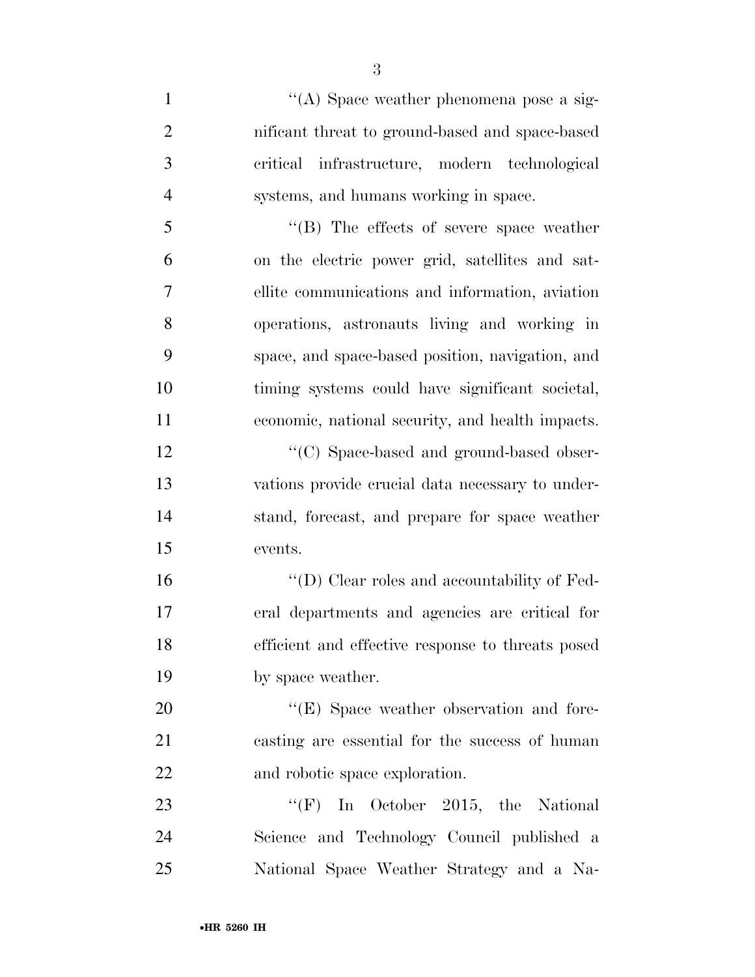| $\mathbf{1}$   | "(A) Space weather phenomena pose a sig-            |
|----------------|-----------------------------------------------------|
| $\overline{2}$ | nificant threat to ground-based and space-based     |
| 3              | critical infrastructure, modern technological       |
| $\overline{4}$ | systems, and humans working in space.               |
| 5              | $\lq\lq$ (B) The effects of severe space weather    |
| 6              | on the electric power grid, satellites and sat-     |
| $\overline{7}$ | ellite communications and information, aviation     |
| 8              | operations, astronauts living and working in        |
| 9              | space, and space-based position, navigation, and    |
| 10             | timing systems could have significant societal,     |
| 11             | economic, national security, and health impacts.    |
| 12             | "(C) Space-based and ground-based obser-            |
| 13             | vations provide crucial data necessary to under-    |
| 14             | stand, forecast, and prepare for space weather      |
| 15             | events.                                             |
| 16             | $\lq\lq$ (D) Clear roles and accountability of Fed- |
| 17             | eral departments and agencies are critical for      |
| 18             | efficient and effective response to threats posed   |
| 19             | by space weather.                                   |
| 20             | "(E) Space weather observation and fore-            |
| 21             | casting are essential for the success of human      |
| 22             | and robotic space exploration.                      |
| 23             | "(F) In October 2015, the National                  |
| 24             | Science and Technology Council published a          |
| 25             | National Space Weather Strategy and a Na-           |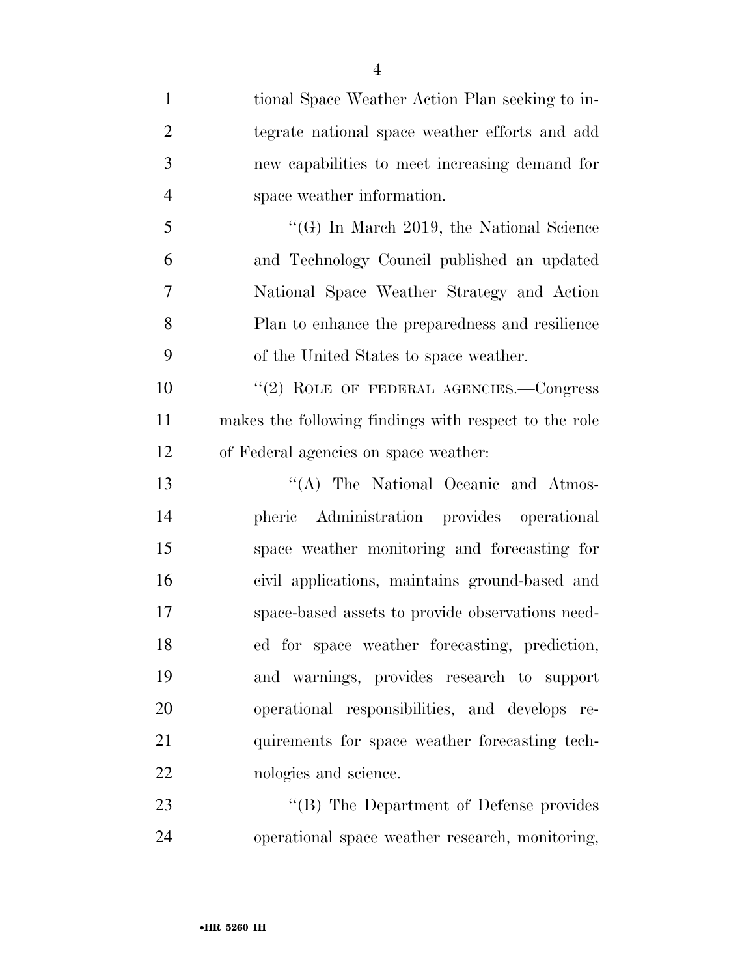| $\mathbf{1}$   | tional Space Weather Action Plan seeking to in-       |
|----------------|-------------------------------------------------------|
| $\overline{2}$ | tegrate national space weather efforts and add        |
| 3              | new capabilities to meet increasing demand for        |
| $\overline{4}$ | space weather information.                            |
| 5              | $\lq\lq (G)$ In March 2019, the National Science      |
| 6              | and Technology Council published an updated           |
| $\overline{7}$ | National Space Weather Strategy and Action            |
| 8              | Plan to enhance the preparedness and resilience       |
| 9              | of the United States to space weather.                |
| 10             | "(2) ROLE OF FEDERAL AGENCIES.-Congress               |
| 11             | makes the following findings with respect to the role |
| 12             | of Federal agencies on space weather:                 |
| 13             | "(A) The National Oceanic and Atmos-                  |
| 14             | pheric Administration provides operational            |
| 15             | space weather monitoring and forecasting for          |
| 16             | civil applications, maintains ground-based and        |
| 17             | space-based assets to provide observations need-      |
| 18             | ed for space weather forecasting, prediction,         |
| 19             | and warnings, provides research to support            |
| 20             | operational responsibilities, and develops re-        |
| 21             | quirements for space weather forecasting tech-        |
| 22             | nologies and science.                                 |
| 23             | "(B) The Department of Defense provides               |
| 24             | operational space weather research, monitoring,       |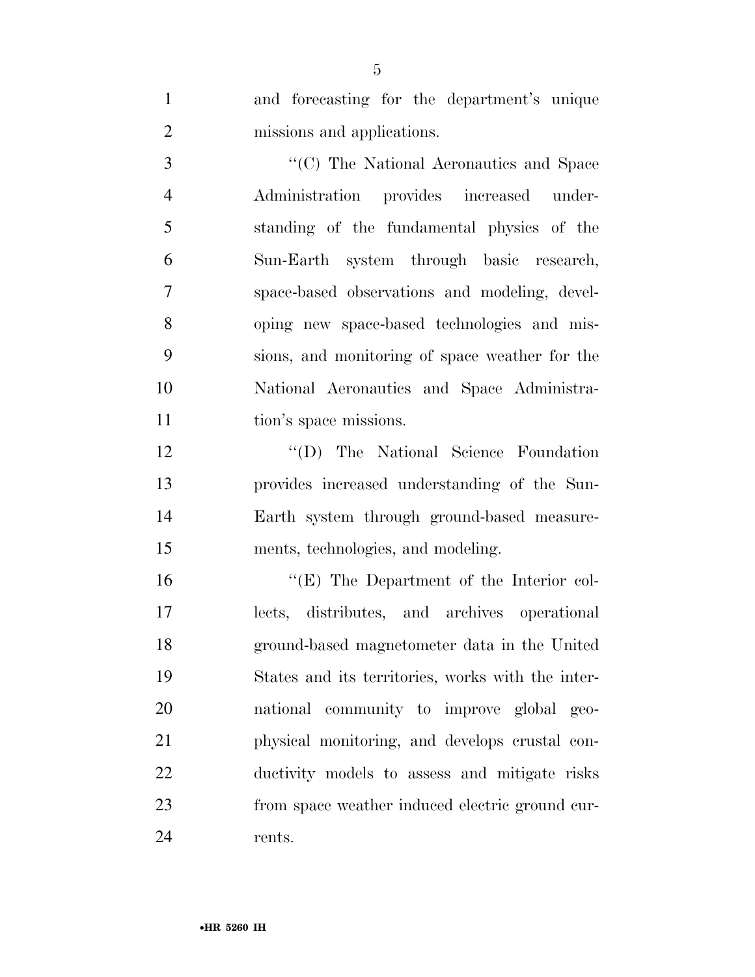and forecasting for the department's unique missions and applications.

 ''(C) The National Aeronautics and Space Administration provides increased under- standing of the fundamental physics of the Sun-Earth system through basic research, space-based observations and modeling, devel- oping new space-based technologies and mis- sions, and monitoring of space weather for the National Aeronautics and Space Administra-11 tion's space missions.

12 "'(D) The National Science Foundation provides increased understanding of the Sun- Earth system through ground-based measure-ments, technologies, and modeling.

16 "(E) The Department of the Interior col- lects, distributes, and archives operational ground-based magnetometer data in the United States and its territories, works with the inter- national community to improve global geo- physical monitoring, and develops crustal con- ductivity models to assess and mitigate risks from space weather induced electric ground cur-rents.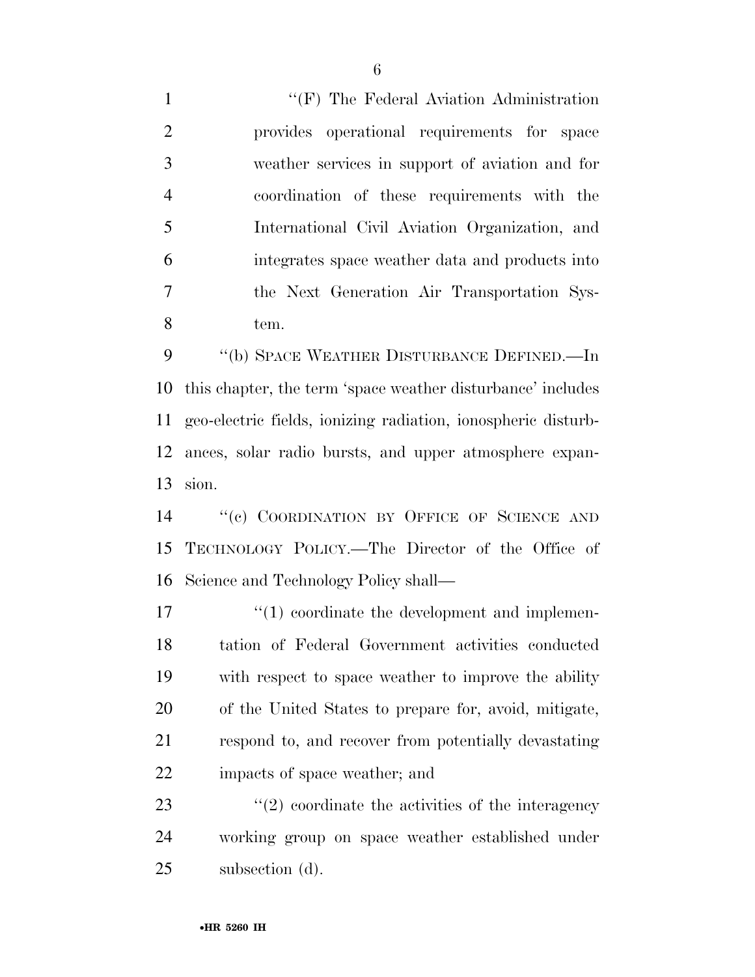1 ''(F) The Federal Aviation Administration provides operational requirements for space weather services in support of aviation and for coordination of these requirements with the International Civil Aviation Organization, and integrates space weather data and products into the Next Generation Air Transportation Sys-tem.

 ''(b) SPACE WEATHER DISTURBANCE DEFINED.—In this chapter, the term 'space weather disturbance' includes geo-electric fields, ionizing radiation, ionospheric disturb- ances, solar radio bursts, and upper atmosphere expan-sion.

14 "(c) COORDINATION BY OFFICE OF SCIENCE AND TECHNOLOGY POLICY.—The Director of the Office of Science and Technology Policy shall—

 $\frac{17}{2}$  (1) coordinate the development and implemen- tation of Federal Government activities conducted with respect to space weather to improve the ability of the United States to prepare for, avoid, mitigate, respond to, and recover from potentially devastating impacts of space weather; and

23  $(2)$  coordinate the activities of the interagency working group on space weather established under subsection (d).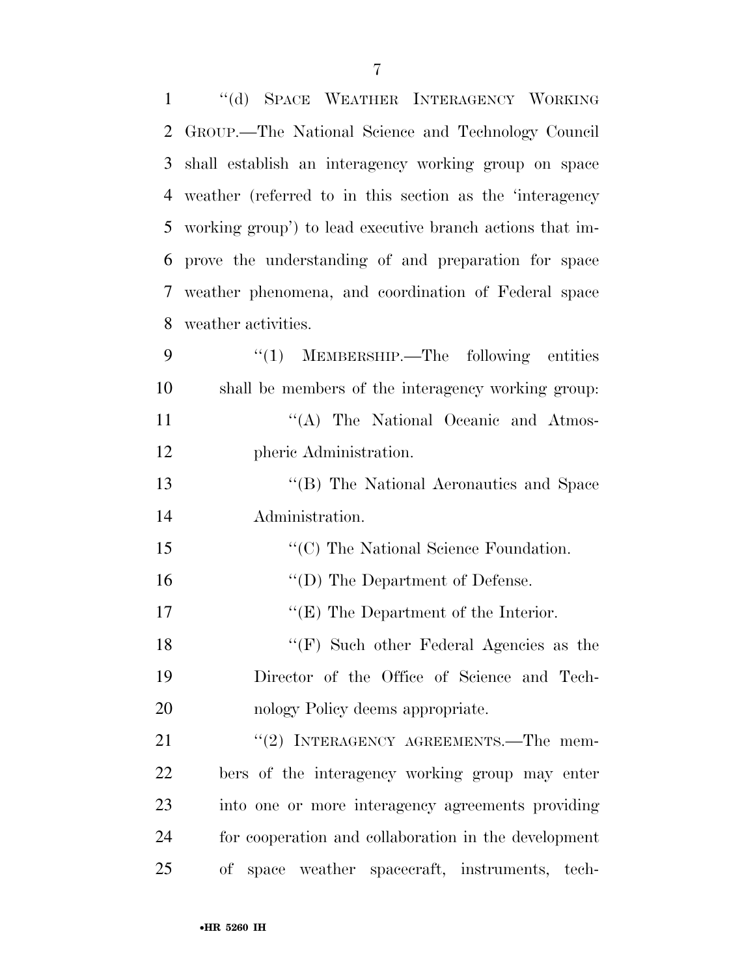| $\mathbf{1}$ | "(d) SPACE WEATHER INTERAGENCY WORKING                    |
|--------------|-----------------------------------------------------------|
| 2            | GROUP.—The National Science and Technology Council        |
| 3            | shall establish an interagency working group on space     |
| 4            | weather (referred to in this section as the 'interagency  |
| 5            | working group') to lead executive branch actions that im- |
| 6            | prove the understanding of and preparation for space      |
| 7            | weather phenomena, and coordination of Federal space      |
| 8            | weather activities.                                       |
| 9            | $\cdot\cdot(1)$ MEMBERSHIP.—The following entities        |
| 10           | shall be members of the interagency working group:        |
| 11           | "(A) The National Oceanic and Atmos-                      |
| 12           | pheric Administration.                                    |
| 13           | "(B) The National Aeronautics and Space                   |
| 14           | Administration.                                           |
| 15           | "(C) The National Science Foundation.                     |
| 16           | $\lq\lq$ (D) The Department of Defense.                   |
| 17           | $\lq\lq(E)$ The Department of the Interior.               |
| 18           | " $(F)$ Such other Federal Agencies as the                |
| 19           | Director of the Office of Science and Tech-               |
| 20           | nology Policy deems appropriate.                          |
| 21           | "(2) INTERAGENCY AGREEMENTS.—The mem-                     |
| 22           | bers of the interagency working group may enter           |
| 23           | into one or more interagency agreements providing         |
| 24           | for cooperation and collaboration in the development      |
| 25           | space weather spacecraft, instruments, tech-<br>οf        |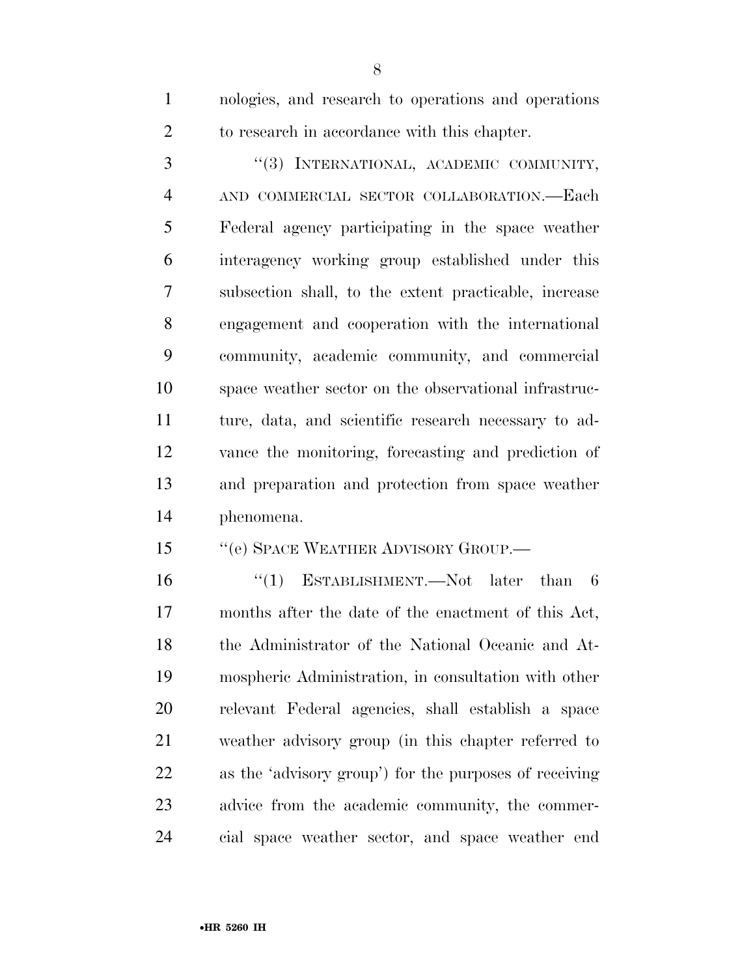nologies, and research to operations and operations to research in accordance with this chapter.

3 "(3) INTERNATIONAL, ACADEMIC COMMUNITY, AND COMMERCIAL SECTOR COLLABORATION.—Each Federal agency participating in the space weather interagency working group established under this subsection shall, to the extent practicable, increase engagement and cooperation with the international community, academic community, and commercial space weather sector on the observational infrastruc- ture, data, and scientific research necessary to ad- vance the monitoring, forecasting and prediction of and preparation and protection from space weather phenomena.

15 "(e) SPACE WEATHER ADVISORY GROUP.—

 ''(1) ESTABLISHMENT.—Not later than 6 months after the date of the enactment of this Act, the Administrator of the National Oceanic and At- mospheric Administration, in consultation with other relevant Federal agencies, shall establish a space weather advisory group (in this chapter referred to as the 'advisory group') for the purposes of receiving advice from the academic community, the commer-cial space weather sector, and space weather end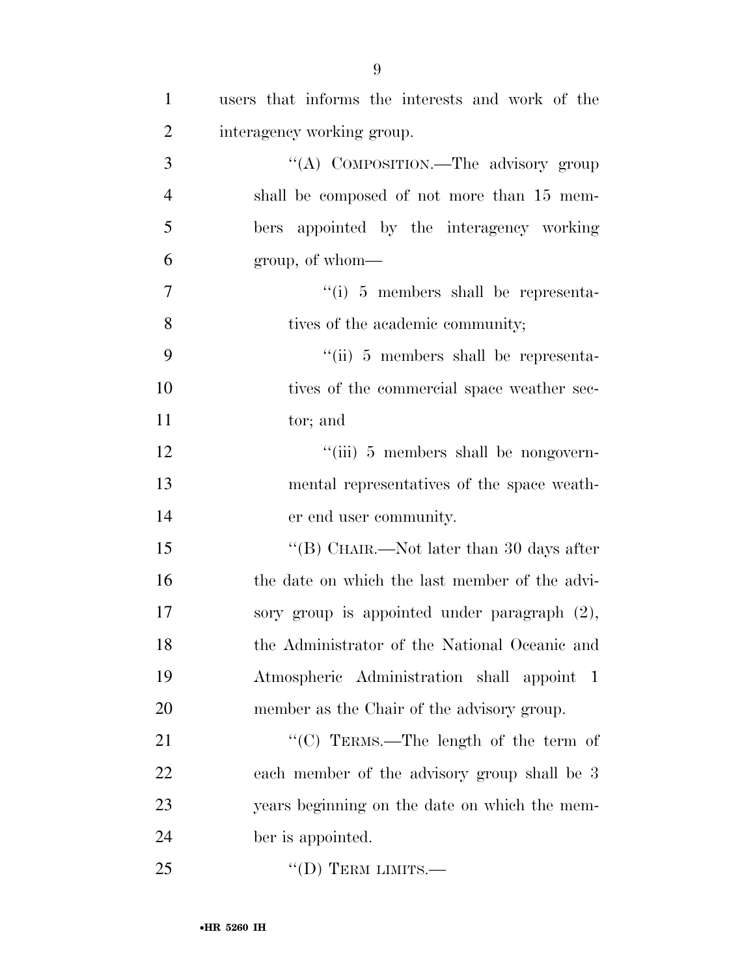| $\mathbf{1}$   | users that informs the interests and work of the |
|----------------|--------------------------------------------------|
| $\overline{2}$ | interagency working group.                       |
| 3              | "(A) COMPOSITION.—The advisory group             |
| $\overline{4}$ | shall be composed of not more than 15 mem-       |
| 5              | bers appointed by the interagency working        |
| 6              | group, of whom—                                  |
| $\tau$         | $\lq\lq(i)$ 5 members shall be representa-       |
| 8              | tives of the academic community;                 |
| 9              | $\lq\lq$ (ii) 5 members shall be representa-     |
| 10             | tives of the commercial space weather sec-       |
| 11             | tor; and                                         |
| 12             | "(iii) 5 members shall be nongovern-             |
| 13             | mental representatives of the space weath-       |
| 14             | er end user community.                           |
| 15             | "(B) CHAIR.—Not later than 30 days after         |
| 16             | the date on which the last member of the advi-   |
| 17             | sory group is appointed under paragraph $(2)$ ,  |
| 18             | the Administrator of the National Oceanic and    |
| 19             | Atmospheric Administration shall appoint 1       |
| 20             | member as the Chair of the advisory group.       |
| 21             | "(C) TERMS.—The length of the term of            |
| 22             | each member of the advisory group shall be 3     |
| 23             | years beginning on the date on which the mem-    |
| 24             | ber is appointed.                                |
| 25             | $\lq\lq$ (D) TERM LIMITS.—                       |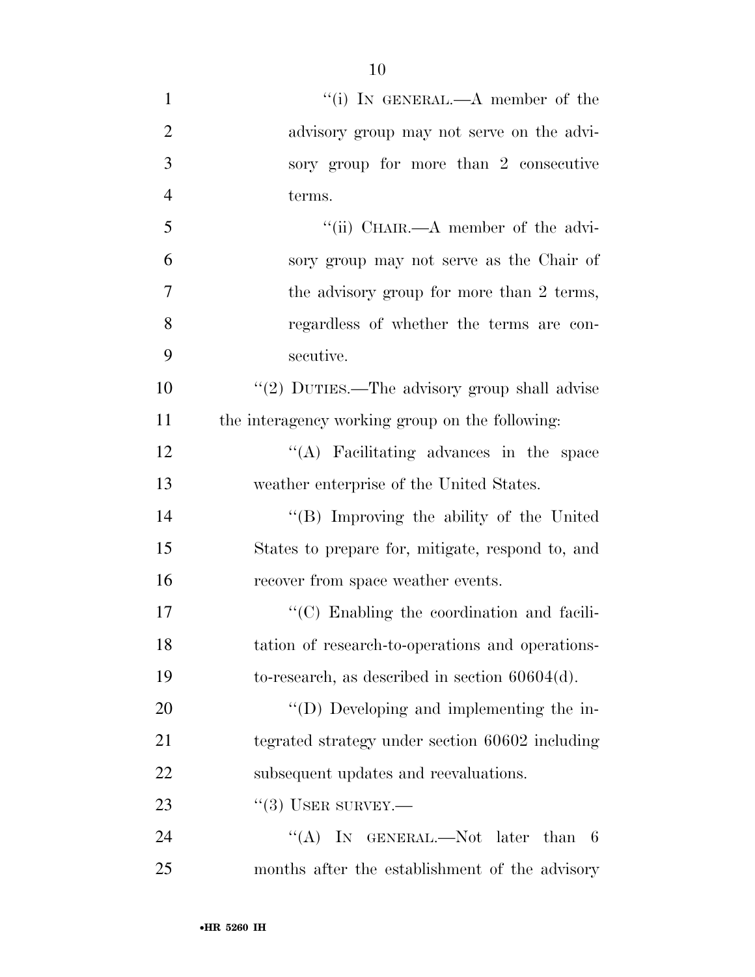| $\mathbf{1}$   | "(i) IN GENERAL.—A member of the                  |
|----------------|---------------------------------------------------|
| $\overline{2}$ | advisory group may not serve on the advi-         |
| 3              | sory group for more than 2 consecutive            |
| $\overline{4}$ | terms.                                            |
| 5              | "(ii) CHAIR.—A member of the advi-                |
| 6              | sory group may not serve as the Chair of          |
| 7              | the advisory group for more than 2 terms,         |
| 8              | regardless of whether the terms are con-          |
| 9              | secutive.                                         |
| 10             | "(2) DUTIES.—The advisory group shall advise      |
| 11             | the interagency working group on the following:   |
| 12             | "(A) Facilitating advances in the space           |
| 13             | weather enterprise of the United States.          |
| 14             | "(B) Improving the ability of the United          |
| 15             | States to prepare for, mitigate, respond to, and  |
| 16             | recover from space weather events.                |
| 17             | $\lq\lq$ Enabling the coordination and facili-    |
| 18             | tation of research-to-operations and operations-  |
| 19             | to-research, as described in section $60604(d)$ . |
| 20             | $\lq\lq$ (D) Developing and implementing the in-  |
| 21             | tegrated strategy under section 60602 including   |
| 22             | subsequent updates and reevaluations.             |
| 23             | $``(3)$ USER SURVEY.—                             |
| 24             | "(A) IN GENERAL.—Not later than $6$               |
| 25             | months after the establishment of the advisory    |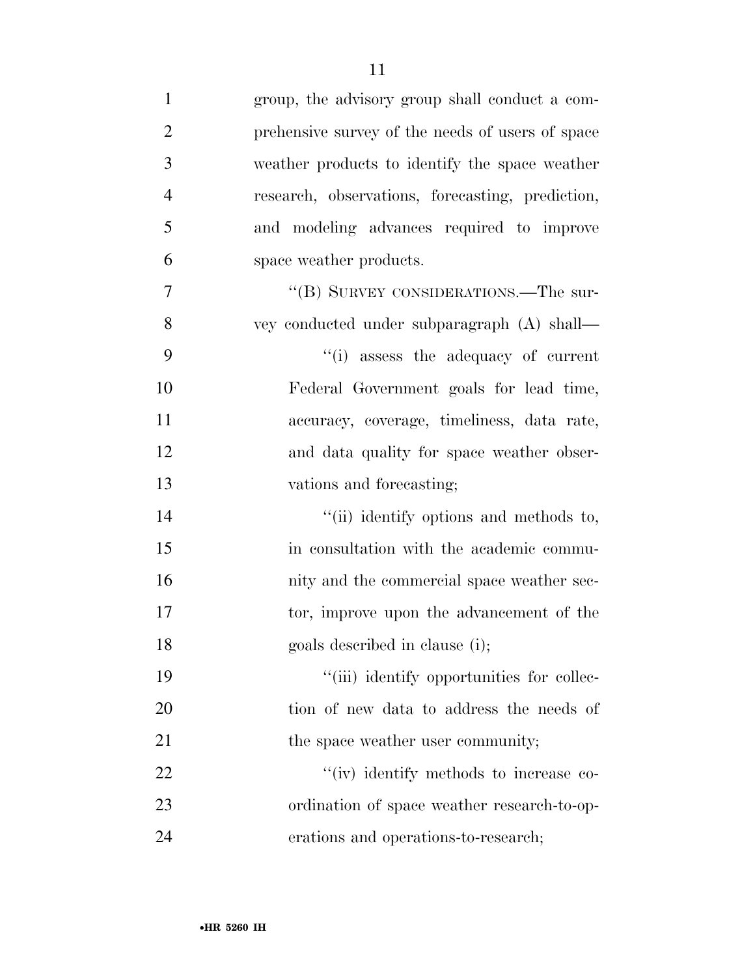| $\mathbf{1}$   | group, the advisory group shall conduct a com-   |
|----------------|--------------------------------------------------|
| $\overline{2}$ | prehensive survey of the needs of users of space |
| 3              | weather products to identify the space weather   |
| $\overline{4}$ | research, observations, forecasting, prediction, |
| 5              | and modeling advances required to improve        |
| 6              | space weather products.                          |
| 7              | "(B) SURVEY CONSIDERATIONS.—The sur-             |
| 8              | vey conducted under subparagraph (A) shall-      |
| 9              | "(i) assess the adequacy of current              |
| 10             | Federal Government goals for lead time,          |
| 11             | accuracy, coverage, timeliness, data rate,       |
| 12             | and data quality for space weather obser-        |
| 13             | vations and forecasting;                         |
| 14             | "(ii) identify options and methods to,           |
| 15             | in consultation with the academic commu-         |
| 16             | nity and the commercial space weather sec-       |
| 17             | tor, improve upon the advancement of the         |
| 18             | goals described in clause (i);                   |
| 19             | "(iii) identify opportunities for collec-        |
| 20             | tion of new data to address the needs of         |
| 21             | the space weather user community;                |
| 22             | "(iv) identify methods to increase co-           |
| 23             | ordination of space weather research-to-op-      |
| 24             | erations and operations-to-research;             |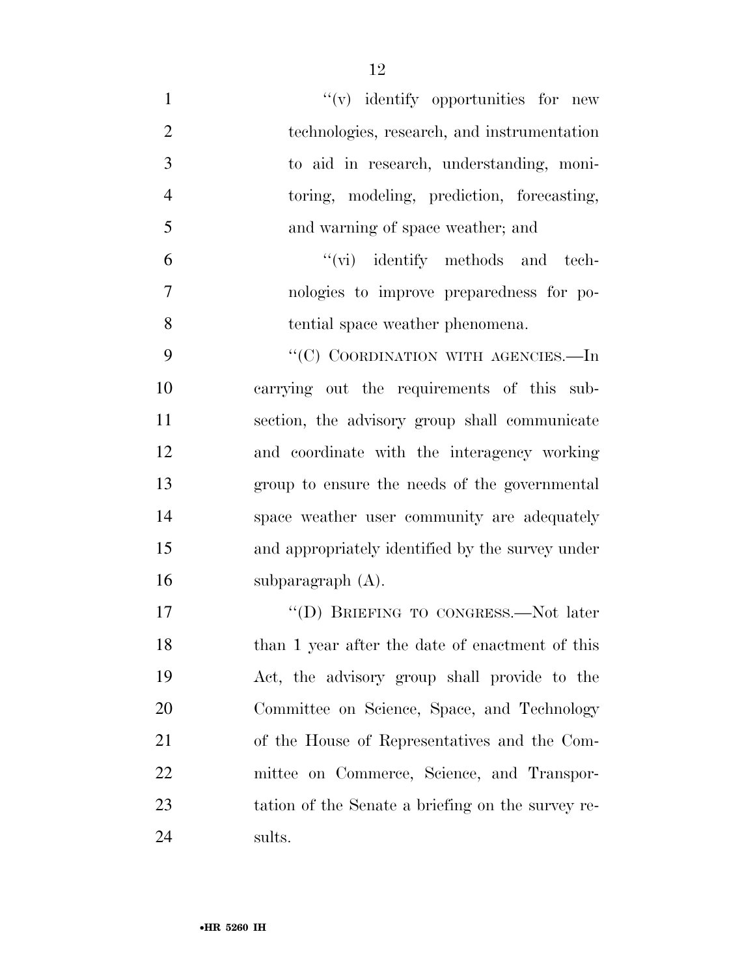| $\mathbf{1}$   | $\mathcal{C}(v)$ identify opportunities for new   |
|----------------|---------------------------------------------------|
| $\overline{2}$ | technologies, research, and instrumentation       |
| 3              | to aid in research, understanding, moni-          |
| $\overline{4}$ | toring, modeling, prediction, forecasting,        |
| 5              | and warning of space weather; and                 |
| 6              | "(vi) identify methods and tech-                  |
| $\overline{7}$ | nologies to improve preparedness for po-          |
| 8              | tential space weather phenomena.                  |
| 9              | "(C) COORDINATION WITH AGENCIES.—In               |
| 10             | carrying out the requirements of this sub-        |
| 11             | section, the advisory group shall communicate     |
| 12             | and coordinate with the interagency working       |
| 13             | group to ensure the needs of the governmental     |
| 14             | space weather user community are adequately       |
| 15             | and appropriately identified by the survey under  |
| 16             | subparagraph $(A)$ .                              |
| 17             | "(D) BRIEFING TO CONGRESS.—Not later              |
| 18             | than 1 year after the date of enactment of this   |
| 19             | Act, the advisory group shall provide to the      |
| 20             | Committee on Science, Space, and Technology       |
| 21             | of the House of Representatives and the Com-      |
| 22             | mittee on Commerce, Science, and Transpor-        |
| 23             | tation of the Senate a briefing on the survey re- |
| 24             | sults.                                            |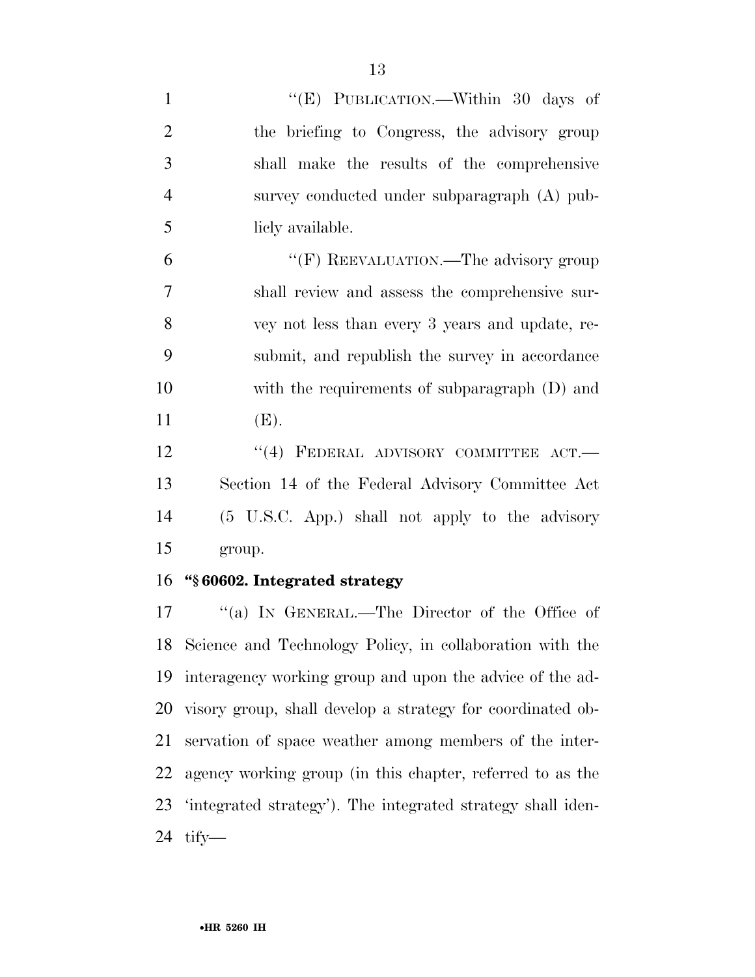| $\mathbf{1}$   | "(E) PUBLICATION.—Within 30 days of                        |
|----------------|------------------------------------------------------------|
| $\overline{2}$ | the briefing to Congress, the advisory group               |
| 3              | shall make the results of the comprehensive                |
| $\overline{4}$ | survey conducted under subparagraph (A) pub-               |
| 5              | licly available.                                           |
| 6              | "(F) REEVALUATION.—The advisory group                      |
| 7              | shall review and assess the comprehensive sur-             |
| 8              | vey not less than every 3 years and update, re-            |
| 9              | submit, and republish the survey in accordance             |
| 10             | with the requirements of subparagraph (D) and              |
| 11             | (E).                                                       |
| 12             | $``(4)$ FEDERAL ADVISORY COMMITTEE ACT.                    |
| 13             | Section 14 of the Federal Advisory Committee Act           |
| 14             | (5 U.S.C. App.) shall not apply to the advisory            |
| 15             | group.                                                     |
| 16             | "§ 60602. Integrated strategy                              |
| 17             | "(a) IN GENERAL.—The Director of the Office of             |
| 18             | Science and Technology Policy, in collaboration with the   |
| 19             | interagency working group and upon the advice of the ad-   |
| 20             | visory group, shall develop a strategy for coordinated ob- |
| 21             | servation of space weather among members of the inter-     |
| 22             | agency working group (in this chapter, referred to as the  |

'integrated strategy'). The integrated strategy shall iden-

tify—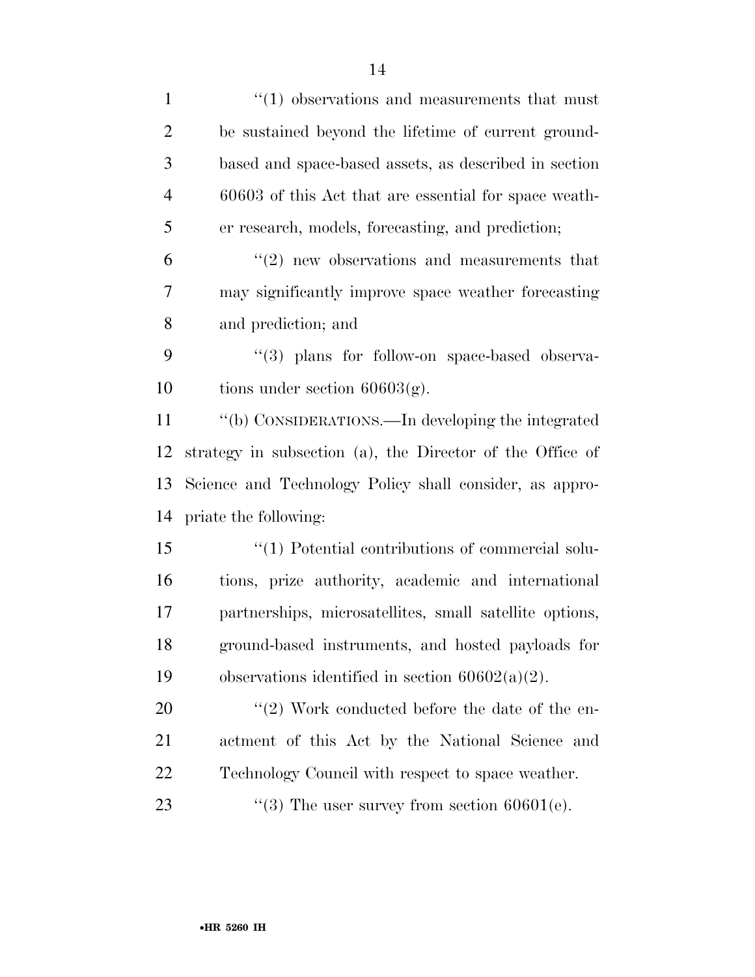| $\mathbf{1}$   | $\lq(1)$ observations and measurements that must          |
|----------------|-----------------------------------------------------------|
| $\overline{2}$ | be sustained beyond the lifetime of current ground-       |
| 3              | based and space-based assets, as described in section     |
| $\overline{4}$ | 60603 of this Act that are essential for space weath-     |
| 5              | er research, models, forecasting, and prediction;         |
| 6              | $\cdot\cdot(2)$ new observations and measurements that    |
| 7              | may significantly improve space weather forecasting       |
| 8              | and prediction; and                                       |
| 9              | "(3) plans for follow-on space-based observa-             |
| 10             | tions under section $60603(g)$ .                          |
| 11             | "(b) CONSIDERATIONS.—In developing the integrated         |
| 12             | strategy in subsection (a), the Director of the Office of |
| 13             | Science and Technology Policy shall consider, as appro-   |
| 14             | priate the following:                                     |
| 15             | $\lq(1)$ Potential contributions of commercial solu-      |
| 16             | tions, prize authority, academic and international        |
| 17             | partnerships, microsatellites, small satellite options,   |
| 18             | ground-based instruments, and hosted payloads for         |
| 19             | observations identified in section $60602(a)(2)$ .        |
| 20             | $\lq(2)$ Work conducted before the date of the en-        |
| 21             | actment of this Act by the National Science and           |
| 22             | Technology Council with respect to space weather.         |
| 23             | "(3) The user survey from section $60601(e)$ .            |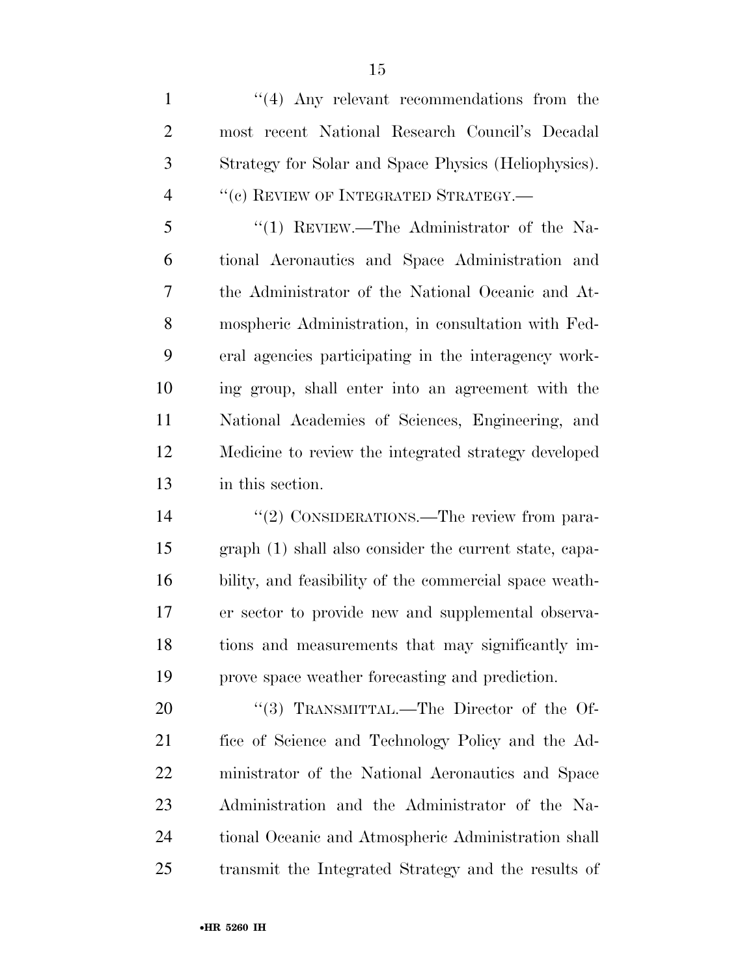1 ''(4) Any relevant recommendations from the most recent National Research Council's Decadal Strategy for Solar and Space Physics (Heliophysics). 4 "(c) REVIEW OF INTEGRATED STRATEGY.—

 ''(1) REVIEW.—The Administrator of the Na- tional Aeronautics and Space Administration and the Administrator of the National Oceanic and At- mospheric Administration, in consultation with Fed- eral agencies participating in the interagency work- ing group, shall enter into an agreement with the National Academies of Sciences, Engineering, and Medicine to review the integrated strategy developed in this section.

14 "(2) CONSIDERATIONS.—The review from para- graph (1) shall also consider the current state, capa- bility, and feasibility of the commercial space weath- er sector to provide new and supplemental observa- tions and measurements that may significantly im-prove space weather forecasting and prediction.

20 "(3) TRANSMITTAL.—The Director of the Of- fice of Science and Technology Policy and the Ad- ministrator of the National Aeronautics and Space Administration and the Administrator of the Na- tional Oceanic and Atmospheric Administration shall transmit the Integrated Strategy and the results of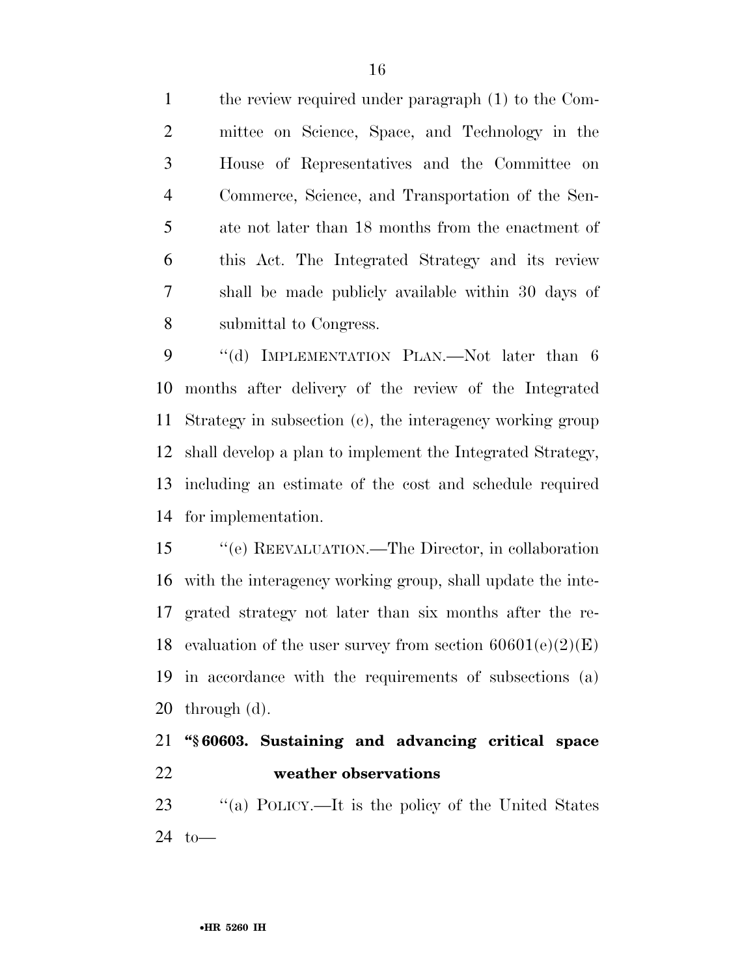the review required under paragraph (1) to the Com- mittee on Science, Space, and Technology in the House of Representatives and the Committee on Commerce, Science, and Transportation of the Sen- ate not later than 18 months from the enactment of this Act. The Integrated Strategy and its review shall be made publicly available within 30 days of submittal to Congress.

9 "(d) IMPLEMENTATION PLAN.—Not later than 6 months after delivery of the review of the Integrated Strategy in subsection (c), the interagency working group shall develop a plan to implement the Integrated Strategy, including an estimate of the cost and schedule required for implementation.

 ''(e) REEVALUATION.—The Director, in collaboration with the interagency working group, shall update the inte- grated strategy not later than six months after the re-18 evaluation of the user survey from section  $60601(e)(2)(E)$  in accordance with the requirements of subsections (a) through (d).

# **''§ 60603. Sustaining and advancing critical space weather observations**

 ''(a) POLICY.—It is the policy of the United States to—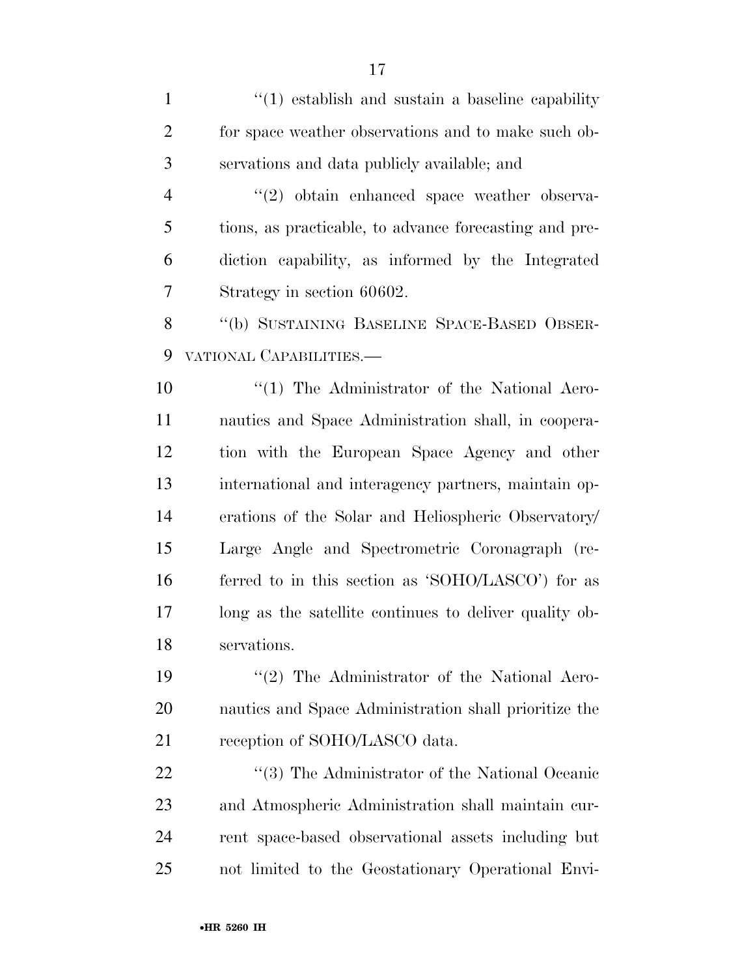1 ''(1) establish and sustain a baseline capability for space weather observations and to make such ob- servations and data publicly available; and 4 "(2) obtain enhanced space weather observa- tions, as practicable, to advance forecasting and pre- diction capability, as informed by the Integrated Strategy in section 60602. ''(b) SUSTAINING BASELINE SPACE-BASED OBSER- VATIONAL CAPABILITIES.—  $\frac{10}{10}$  The Administrator of the National Aero- nautics and Space Administration shall, in coopera- tion with the European Space Agency and other international and interagency partners, maintain op- erations of the Solar and Heliospheric Observatory/ Large Angle and Spectrometric Coronagraph (re- ferred to in this section as 'SOHO/LASCO') for as long as the satellite continues to deliver quality ob- servations. 19 ''(2) The Administrator of the National Aero- nautics and Space Administration shall prioritize the 21 reception of SOHO/LASCO data. 22 ''(3) The Administrator of the National Oceanic

 and Atmospheric Administration shall maintain cur- rent space-based observational assets including but not limited to the Geostationary Operational Envi-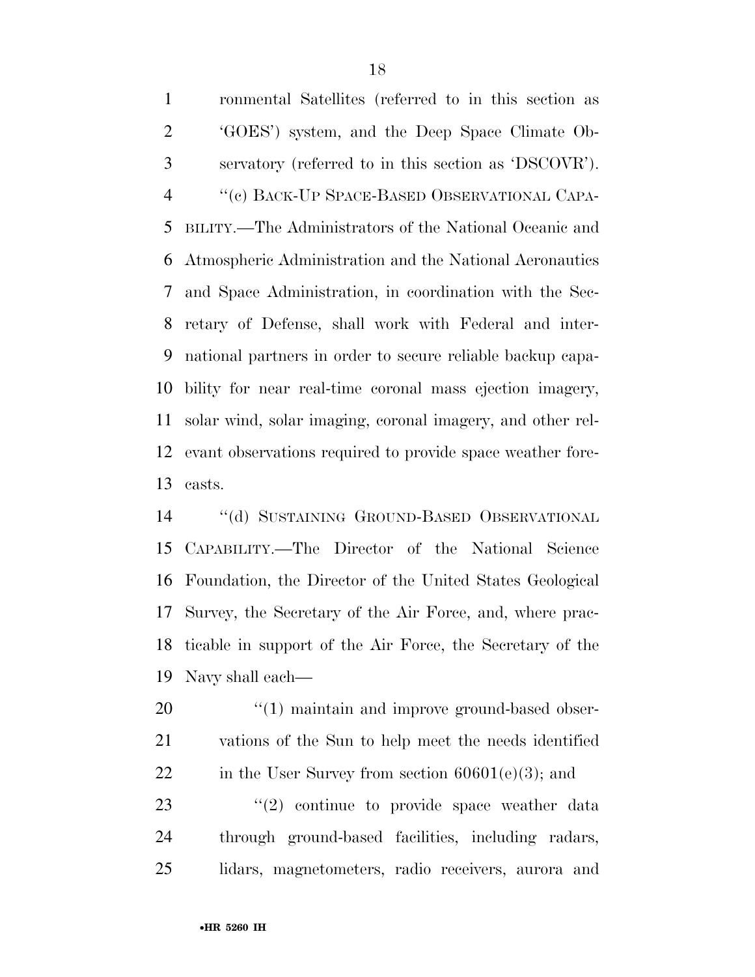ronmental Satellites (referred to in this section as 'GOES') system, and the Deep Space Climate Ob- servatory (referred to in this section as 'DSCOVR'). ''(c) BACK-UP SPACE-BASED OBSERVATIONAL CAPA- BILITY.—The Administrators of the National Oceanic and Atmospheric Administration and the National Aeronautics and Space Administration, in coordination with the Sec- retary of Defense, shall work with Federal and inter- national partners in order to secure reliable backup capa- bility for near real-time coronal mass ejection imagery, solar wind, solar imaging, coronal imagery, and other rel- evant observations required to provide space weather fore-casts.

 ''(d) SUSTAINING GROUND-BASED OBSERVATIONAL CAPABILITY.—The Director of the National Science Foundation, the Director of the United States Geological Survey, the Secretary of the Air Force, and, where prac- ticable in support of the Air Force, the Secretary of the Navy shall each—

20  $\frac{1}{20}$  (1) maintain and improve ground-based obser- vations of the Sun to help meet the needs identified 22 in the User Survey from section  $60601(e)(3)$ ; and

23  $(2)$  continue to provide space weather data through ground-based facilities, including radars, lidars, magnetometers, radio receivers, aurora and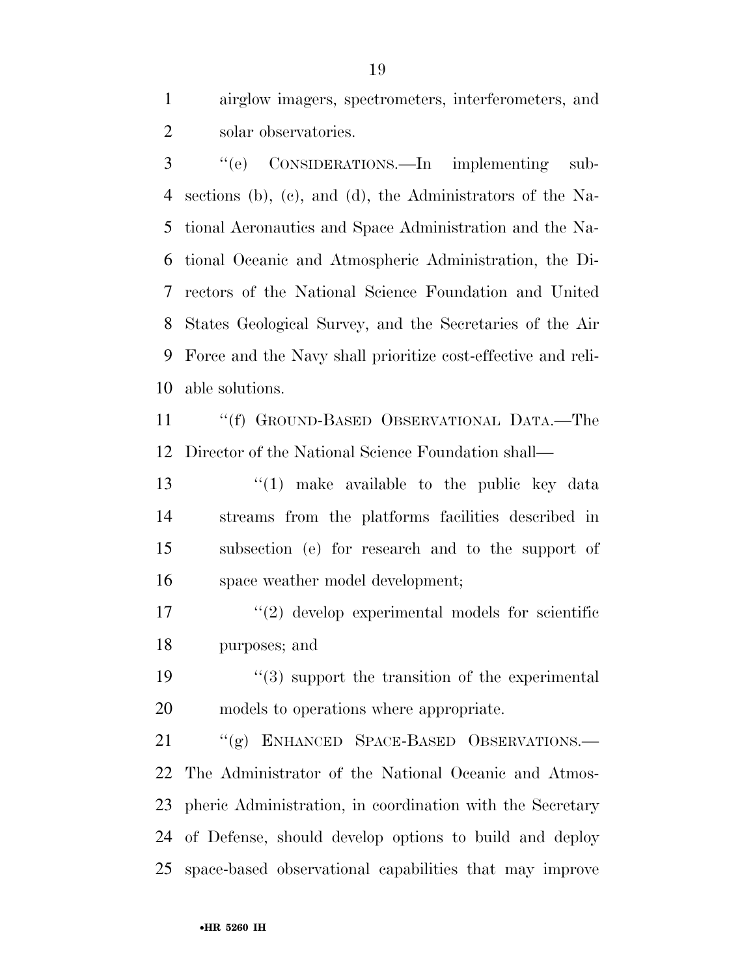airglow imagers, spectrometers, interferometers, and solar observatories.

 ''(e) CONSIDERATIONS.—In implementing sub- sections (b), (c), and (d), the Administrators of the Na- tional Aeronautics and Space Administration and the Na- tional Oceanic and Atmospheric Administration, the Di- rectors of the National Science Foundation and United States Geological Survey, and the Secretaries of the Air Force and the Navy shall prioritize cost-effective and reli-able solutions.

 ''(f) GROUND-BASED OBSERVATIONAL DATA.—The Director of the National Science Foundation shall—

 ''(1) make available to the public key data streams from the platforms facilities described in subsection (e) for research and to the support of space weather model development;

 ''(2) develop experimental models for scientific purposes; and

19  $\frac{1}{3}$  support the transition of the experimental models to operations where appropriate.

 ''(g) ENHANCED SPACE-BASED OBSERVATIONS.— The Administrator of the National Oceanic and Atmos- pheric Administration, in coordination with the Secretary of Defense, should develop options to build and deploy space-based observational capabilities that may improve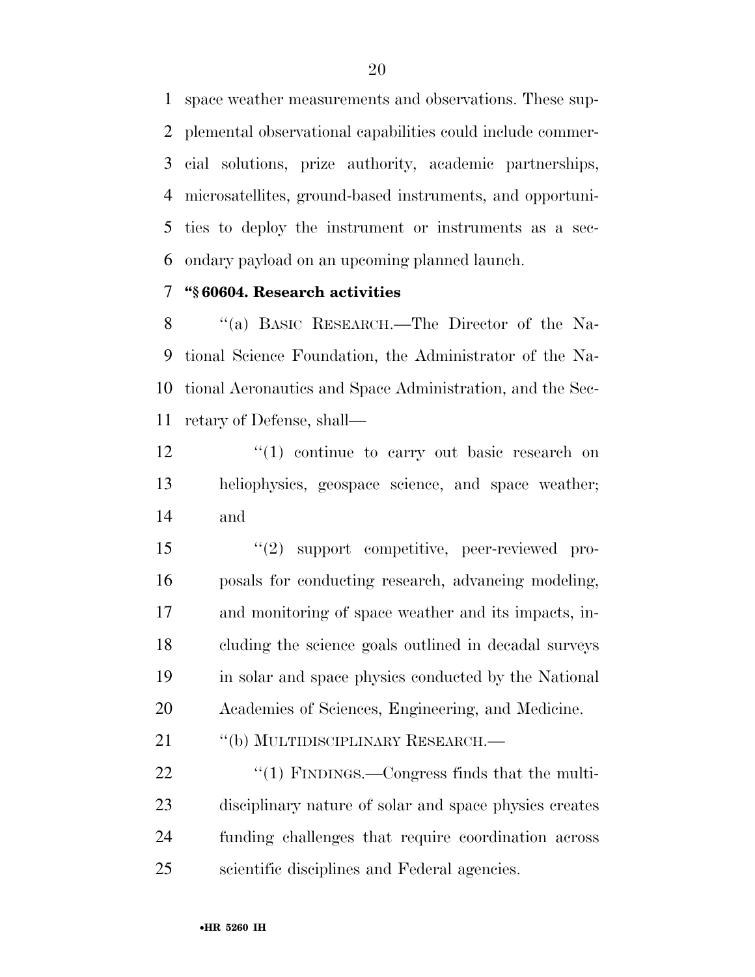space weather measurements and observations. These sup- plemental observational capabilities could include commer- cial solutions, prize authority, academic partnerships, microsatellites, ground-based instruments, and opportuni- ties to deploy the instrument or instruments as a sec-ondary payload on an upcoming planned launch.

# **''§ 60604. Research activities**

 ''(a) BASIC RESEARCH.—The Director of the Na- tional Science Foundation, the Administrator of the Na- tional Aeronautics and Space Administration, and the Sec-retary of Defense, shall—

 $\frac{12}{2}$  ''(1) continue to carry out basic research on heliophysics, geospace science, and space weather; and

 ''(2) support competitive, peer-reviewed pro- posals for conducting research, advancing modeling, and monitoring of space weather and its impacts, in- cluding the science goals outlined in decadal surveys in solar and space physics conducted by the National Academies of Sciences, Engineering, and Medicine.

21 "(b) MULTIDISCIPLINARY RESEARCH.—

 $\frac{1}{2}$  (1) FINDINGS.—Congress finds that the multi- disciplinary nature of solar and space physics creates funding challenges that require coordination across scientific disciplines and Federal agencies.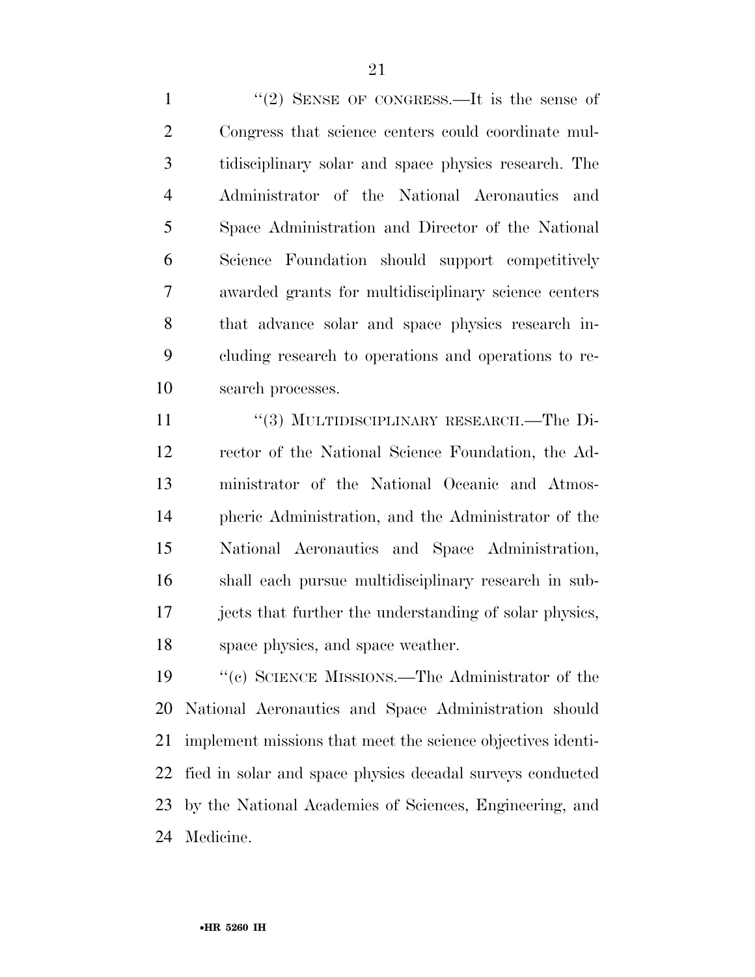1 "(2) SENSE OF CONGRESS.—It is the sense of Congress that science centers could coordinate mul- tidisciplinary solar and space physics research. The Administrator of the National Aeronautics and Space Administration and Director of the National Science Foundation should support competitively awarded grants for multidisciplinary science centers that advance solar and space physics research in- cluding research to operations and operations to re-search processes.

11 "(3) MULTIDISCIPLINARY RESEARCH.—The Di- rector of the National Science Foundation, the Ad- ministrator of the National Oceanic and Atmos- pheric Administration, and the Administrator of the National Aeronautics and Space Administration, shall each pursue multidisciplinary research in sub- jects that further the understanding of solar physics, space physics, and space weather.

 ''(c) SCIENCE MISSIONS.—The Administrator of the National Aeronautics and Space Administration should implement missions that meet the science objectives identi- fied in solar and space physics decadal surveys conducted by the National Academies of Sciences, Engineering, and Medicine.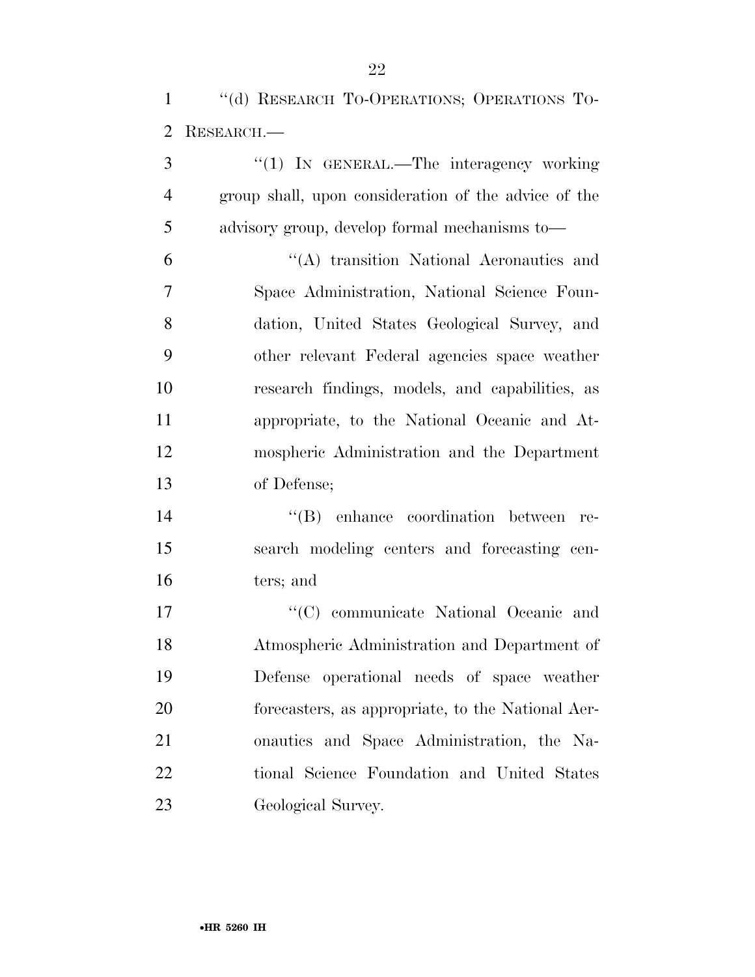''(d) RESEARCH TO-OPERATIONS; OPERATIONS TO-RESEARCH.—

3 "(1) IN GENERAL.—The interagency working group shall, upon consideration of the advice of the advisory group, develop formal mechanisms to— ''(A) transition National Aeronautics and Space Administration, National Science Foun- dation, United States Geological Survey, and other relevant Federal agencies space weather research findings, models, and capabilities, as appropriate, to the National Oceanic and At- mospheric Administration and the Department of Defense; ''(B) enhance coordination between re-search modeling centers and forecasting cen-

ters; and

 $\lq\lq$  (C) communicate National Oceanic and Atmospheric Administration and Department of Defense operational needs of space weather forecasters, as appropriate, to the National Aer- onautics and Space Administration, the Na- tional Science Foundation and United States Geological Survey.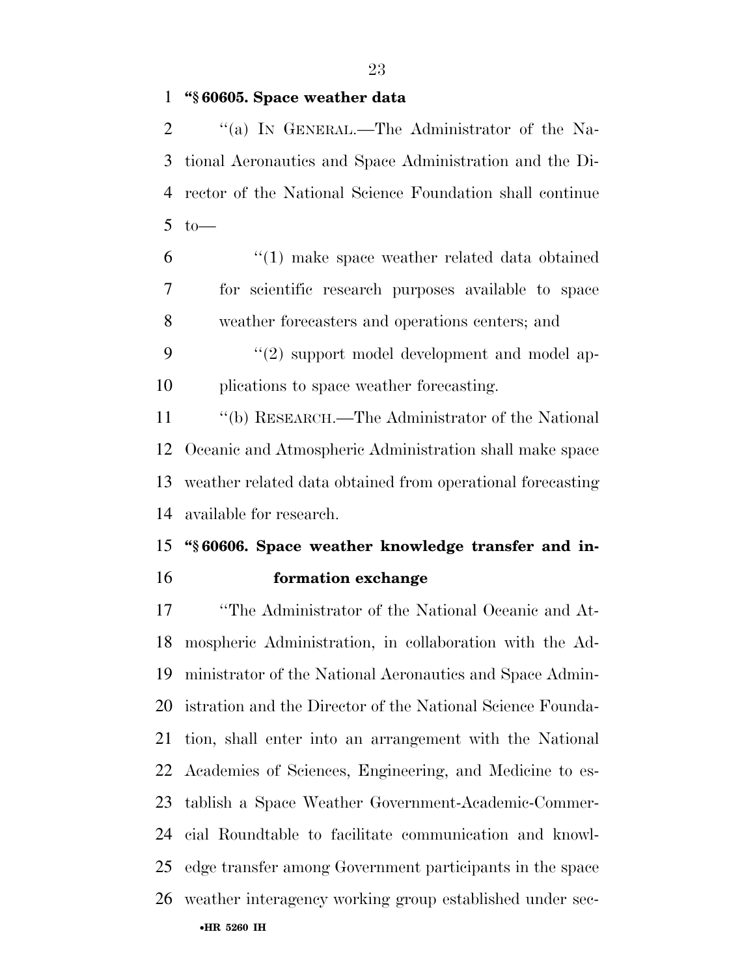## **''§ 60605. Space weather data**

2 "(a) In GENERAL.—The Administrator of the Na- tional Aeronautics and Space Administration and the Di- rector of the National Science Foundation shall continue to —

 ''(1) make space weather related data obtained for scientific research purposes available to space weather forecasters and operations centers; and

9 "(2) support model development and model ap-plications to space weather forecasting.

 ''(b) RESEARCH.—The Administrator of the National Oceanic and Atmospheric Administration shall make space weather related data obtained from operational forecasting available for research.

# **''§ 60606. Space weather knowledge transfer and in-formation exchange**

•**HR 5260 IH** ''The Administrator of the National Oceanic and At- mospheric Administration, in collaboration with the Ad- ministrator of the National Aeronautics and Space Admin- istration and the Director of the National Science Founda- tion, shall enter into an arrangement with the National Academies of Sciences, Engineering, and Medicine to es- tablish a Space Weather Government-Academic-Commer- cial Roundtable to facilitate communication and knowl- edge transfer among Government participants in the space weather interagency working group established under sec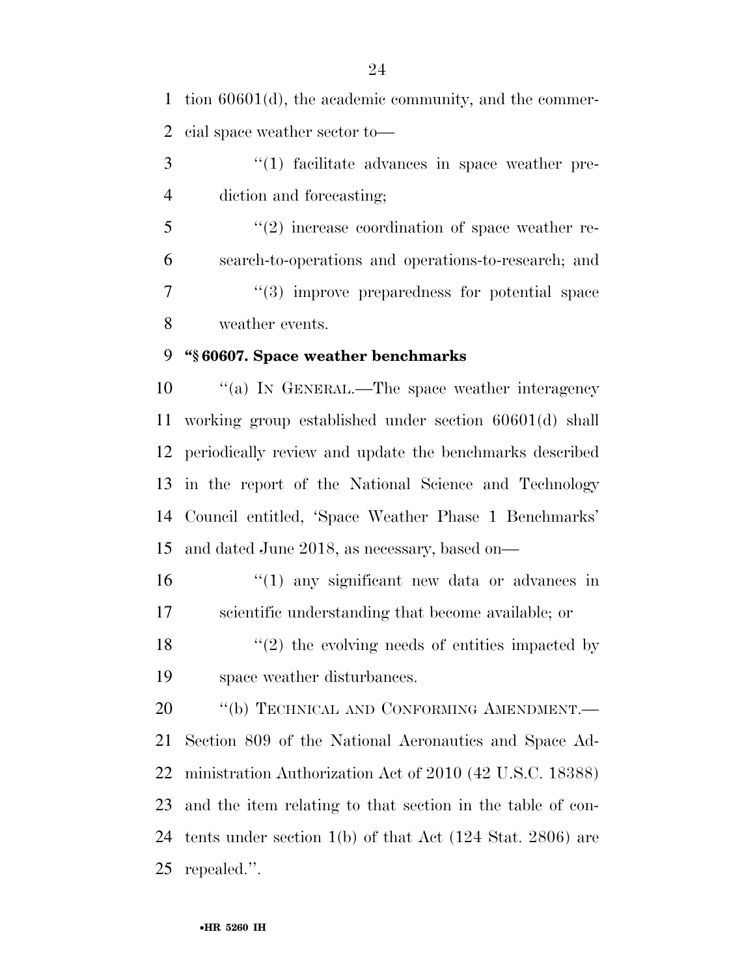tion 60601(d), the academic community, and the commer-cial space weather sector to—

3 (1) facilitate advances in space weather pre-diction and forecasting;

5 "(2) increase coordination of space weather re- search-to-operations and operations-to-research; and 7 ''(3) improve preparedness for potential space weather events.

# **''§ 60607. Space weather benchmarks**

 ''(a) IN GENERAL.—The space weather interagency working group established under section 60601(d) shall periodically review and update the benchmarks described in the report of the National Science and Technology Council entitled, 'Space Weather Phase 1 Benchmarks' and dated June 2018, as necessary, based on—

 ''(1) any significant new data or advances in scientific understanding that become available; or

18 ''(2) the evolving needs of entities impacted by space weather disturbances.

20 "(b) TECHNICAL AND CONFORMING AMENDMENT.— Section 809 of the National Aeronautics and Space Ad- ministration Authorization Act of 2010 (42 U.S.C. 18388) and the item relating to that section in the table of con- tents under section 1(b) of that Act (124 Stat. 2806) are repealed.''.